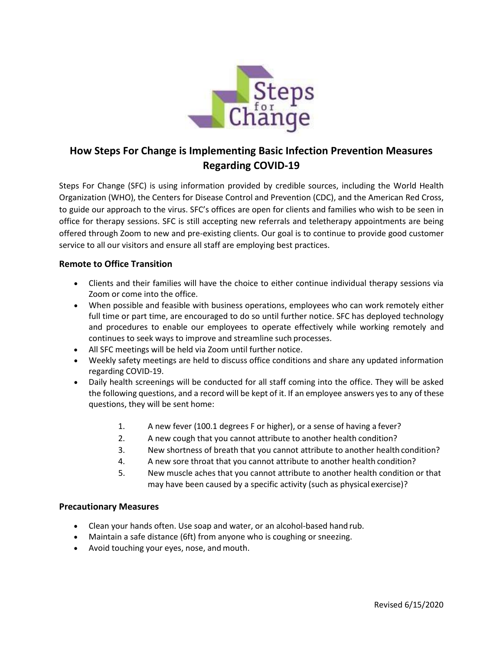

## **How Steps For Change is Implementing Basic Infection Prevention Measures Regarding COVID-19**

Steps For Change (SFC) is using information provided by credible sources, including the World Health Organization (WHO), the Centers for Disease Control and Prevention (CDC), and the American Red Cross, to guide our approach to the virus. SFC's offices are open for clients and families who wish to be seen in office for therapy sessions. SFC is still accepting new referrals and teletherapy appointments are being offered through Zoom to new and pre-existing clients. Our goal is to continue to provide good customer service to all our visitors and ensure all staff are employing best practices.

## **Remote to Office Transition**

- Clients and their families will have the choice to either continue individual therapy sessions via Zoom or come into the office.
- When possible and feasible with business operations, employees who can work remotely either full time or part time, are encouraged to do so until further notice. SFC has deployed technology and procedures to enable our employees to operate effectively while working remotely and continues to seek ways to improve and streamline such processes.
- All SFC meetings will be held via Zoom until further notice.
- Weekly safety meetings are held to discuss office conditions and share any updated information regarding COVID-19.
- Daily health screenings will be conducted for all staff coming into the office. They will be asked the following questions, and a record will be kept of it. If an employee answers yesto any of these questions, they will be sent home:
	- 1. A new fever (100.1 degrees F or higher), or a sense of having a fever?
	- 2. A new cough that you cannot attribute to another health condition?
	- 3. New shortness of breath that you cannot attribute to another health condition?
	- 4. A new sore throat that you cannot attribute to another health condition?
	- 5. New muscle aches that you cannot attribute to another health condition or that may have been caused by a specific activity (such as physical exercise)?

## **Precautionary Measures**

- Clean your hands often. Use soap and water, or an alcohol-based hand rub.
- Maintain a safe distance (6ft) from anyone who is coughing or sneezing.
- Avoid touching your eyes, nose, and mouth.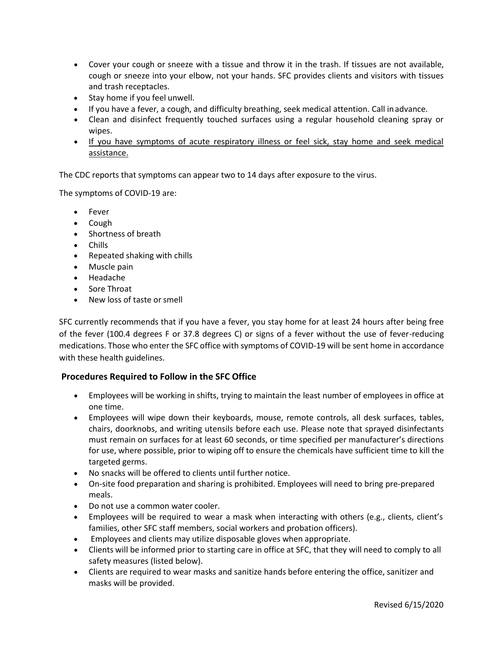- Cover your cough or sneeze with a tissue and throw it in the trash. If tissues are not available, cough or sneeze into your elbow, not your hands. SFC provides clients and visitors with tissues and trash receptacles.
- Stay home if you feel unwell.
- If you have a fever, a cough, and difficulty breathing, seek medical attention. Call inadvance.
- Clean and disinfect frequently touched surfaces using a regular household cleaning spray or wipes.
- If you have symptoms of acute respiratory illness or feel sick, stay home and seek medical assistance.

The CDC reports that symptoms can appear two to 14 days after exposure to the virus.

The symptoms of COVID-19 are:

- Fever
- Cough
- Shortness of breath
- Chills
- Repeated shaking with chills
- Muscle pain
- Headache
- Sore Throat
- New loss of taste orsmell

SFC currently recommends that if you have a fever, you stay home for at least 24 hours after being free of the fever (100.4 degrees F or 37.8 degrees C) or signs of a fever without the use of fever-reducing medications. Those who enter the SFC office with symptoms of COVID-19 will be sent home in accordance with these health guidelines.

## **Procedures Required to Follow in the SFC Office**

- Employees will be working in shifts, trying to maintain the least number of employees in office at one time.
- Employees will wipe down their keyboards, mouse, remote controls, all desk surfaces, tables, chairs, doorknobs, and writing utensils before each use. Please note that sprayed disinfectants must remain on surfaces for at least 60 seconds, or time specified per manufacturer's directions for use, where possible, prior to wiping off to ensure the chemicals have sufficient time to kill the targeted germs.
- No snacks will be offered to clients until further notice.
- On-site food preparation and sharing is prohibited. Employees will need to bring pre-prepared meals.
- Do not use a common water cooler.
- Employees will be required to wear a mask when interacting with others (e.g., clients, client's families, other SFC staff members, social workers and probation officers).
- Employees and clients may utilize disposable gloves when appropriate.
- Clients will be informed prior to starting care in office at SFC, that they will need to comply to all safety measures (listed below).
- Clients are required to wear masks and sanitize hands before entering the office, sanitizer and masks will be provided.